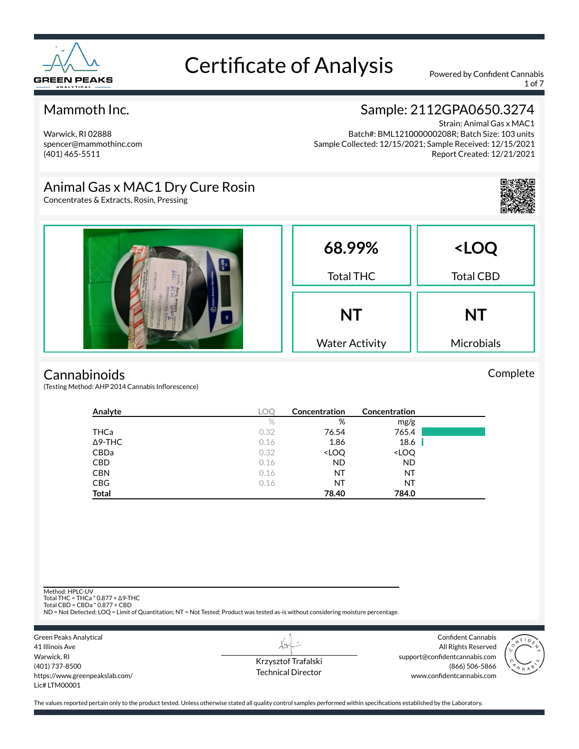

1 of 7

### Mammoth Inc.

Warwick, RI 02888 spencer@mammothinc.com (401) 465-5511

## Sample: 2112GPA0650.3274

Strain: Animal Gas x MAC1 Batch#: BML121000000208R; Batch Size: 103 units Sample Collected: 12/15/2021; Sample Received: 12/15/2021 Report Created: 12/21/2021

### Animal Gas x MAC1 Dry Cure Rosin

Concentrates & Extracts, Rosin, Pressing



Complete



#### **Cannabinoids**

(Testing Method: AHP 2014 Cannabis Inflorescence)

| Analyte        | LOC  | Concentration                                            | Concentration                |  |
|----------------|------|----------------------------------------------------------|------------------------------|--|
|                | $\%$ | %                                                        | mg/g                         |  |
| THCa           | 0.32 | 76.54                                                    | 765.4                        |  |
| $\Delta$ 9-THC | 0.16 | 1.86                                                     | 18.6                         |  |
| CBDa           | 0.32 | <loq< th=""><th><loq< th=""><th></th></loq<></th></loq<> | <loq< th=""><th></th></loq<> |  |
| <b>CBD</b>     | 0.16 | <b>ND</b>                                                | <b>ND</b>                    |  |
| <b>CBN</b>     | 0.16 | ΝT                                                       | ΝT                           |  |
| <b>CBG</b>     | 0.16 | ΝT                                                       | ΝT                           |  |
| <b>Total</b>   |      | 78.40                                                    | 784.0                        |  |

Method: HPLC-UV

Total THC = THCa \* 0.877 + ∆9-THC Total CBD = CBDa \* 0.877 + CBD

ND = Not Detected; LOQ = Limit of Quantitation; NT = Not Tested; Product was tested as-is without considering moisture percentage.



Krzysztof Trafalski Technical Director

LI

Confident Cannabis All Rights Reserved support@confidentcannabis.com (866) 506-5866 www.confidentcannabis.com

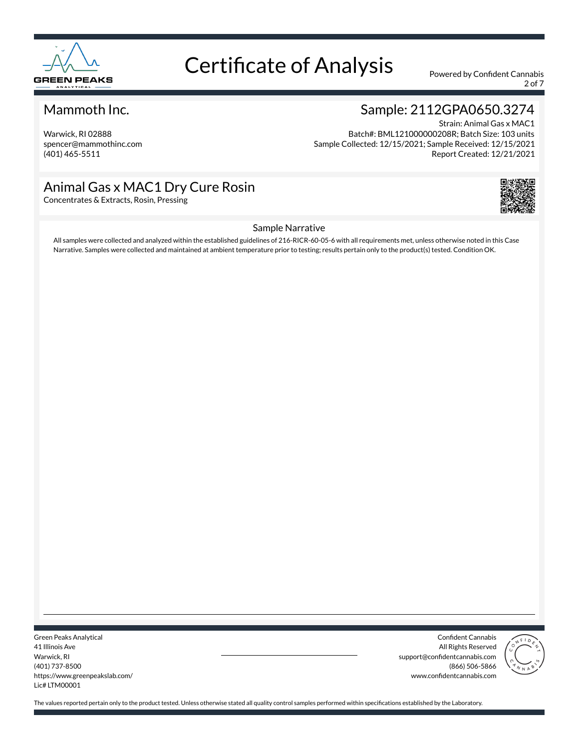

2 of 7

#### Mammoth Inc.

Warwick, RI 02888 spencer@mammothinc.com (401) 465-5511

### Sample: 2112GPA0650.3274

Strain: Animal Gas x MAC1 Batch#: BML121000000208R; Batch Size: 103 units Sample Collected: 12/15/2021; Sample Received: 12/15/2021 Report Created: 12/21/2021

### Animal Gas x MAC1 Dry Cure Rosin

Concentrates & Extracts, Rosin, Pressing



#### Sample Narrative

All samples were collected and analyzed within the established guidelines of 216-RICR-60-05-6 with all requirements met, unless otherwise noted in this Case Narrative. Samples were collected and maintained at ambient temperature prior to testing; results pertain only to the product(s) tested. Condition OK.

Green Peaks Analytical 41 Illinois Ave Warwick, RI (401) 737-8500 https://www.greenpeakslab.com/ Lic# LTM00001

Confident Cannabis All Rights Reserved support@confidentcannabis.com (866) 506-5866 www.confidentcannabis.com

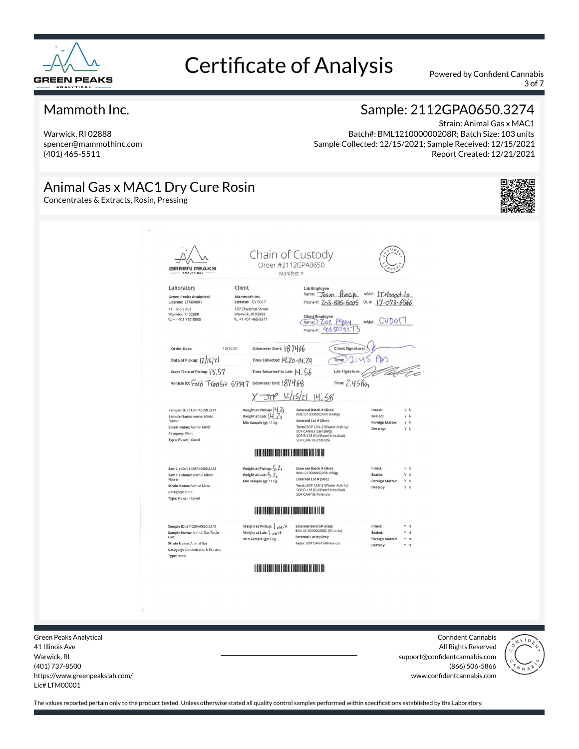

3 of 7

#### Mammoth Inc.

Warwick, RI 02888 spencer@mammothinc.com (401) 465-5511

### Sample: 2112GPA0650.3274

Strain: Animal Gas x MAC1 Batch#: BML121000000208R; Batch Size: 103 units Sample Collected: 12/15/2021; Sample Received: 12/15/2021 Report Created: 12/21/2021

### Animal Gas x MAC1 Dry Cure Rosin

Concentrates & Extracts, Rosin, Pressing





Green Peaks Analytical 41 Illinois Ave Warwick, RI (401) 737-8500 https://www.greenpeakslab.com/ Lic# LTM00001

Confident Cannabis All Rights Reserved support@confidentcannabis.com (866) 506-5866 www.confidentcannabis.com

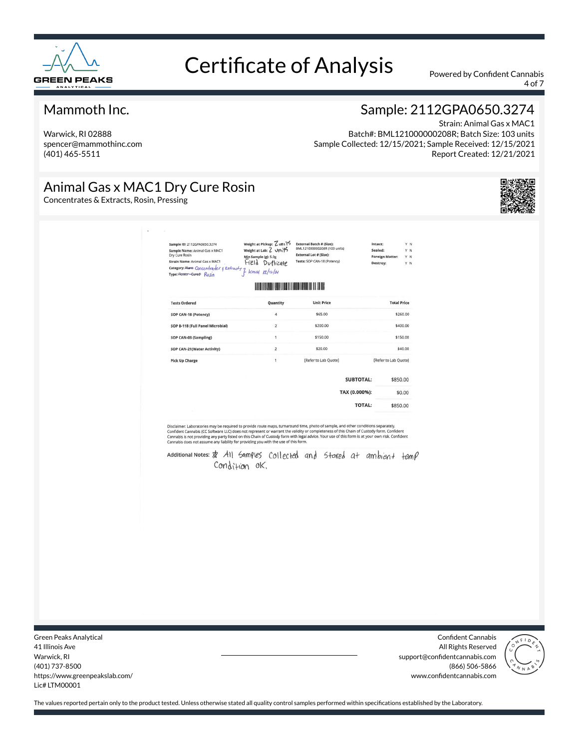

4 of 7

#### Mammoth Inc.

Warwick, RI 02888 spencer@mammothinc.com (401) 465-5511

### Sample: 2112GPA0650.3274

Strain: Animal Gas x MAC1 Batch#: BML121000000208R; Batch Size: 103 units Sample Collected: 12/15/2021; Sample Received: 12/15/2021 Report Created: 12/21/2021

### Animal Gas x MAC1 Dry Cure Rosin

Concentrates & Extracts, Rosin, Pressing



| <b>Tests Ordered</b><br>SOP CAN-18 (Potency)<br>SOP B-118 (Full Panel Microbial)<br>SOP CAN-03 (Sampling)<br>SOP CAN-21(Water Activity)                                                                                                                                                                                                                                                                                                                                                                                                                                                            |                | <u> Karatana Manazarta di Indonesia da Ba</u><br><b>Unit Price</b><br>Quantity<br>4<br>\$65.00 |                  | <b>Total Price</b>   |
|----------------------------------------------------------------------------------------------------------------------------------------------------------------------------------------------------------------------------------------------------------------------------------------------------------------------------------------------------------------------------------------------------------------------------------------------------------------------------------------------------------------------------------------------------------------------------------------------------|----------------|------------------------------------------------------------------------------------------------|------------------|----------------------|
|                                                                                                                                                                                                                                                                                                                                                                                                                                                                                                                                                                                                    |                |                                                                                                |                  |                      |
|                                                                                                                                                                                                                                                                                                                                                                                                                                                                                                                                                                                                    |                |                                                                                                |                  |                      |
|                                                                                                                                                                                                                                                                                                                                                                                                                                                                                                                                                                                                    |                |                                                                                                |                  | \$260.00             |
|                                                                                                                                                                                                                                                                                                                                                                                                                                                                                                                                                                                                    |                | $\overline{2}$<br>\$200.00                                                                     |                  | \$400.00             |
|                                                                                                                                                                                                                                                                                                                                                                                                                                                                                                                                                                                                    | $\mathbf{1}$   | \$150.00                                                                                       |                  | \$150.00             |
|                                                                                                                                                                                                                                                                                                                                                                                                                                                                                                                                                                                                    | $\overline{2}$ | \$20.00                                                                                        |                  | \$40.00              |
| <b>Pick Up Charge</b>                                                                                                                                                                                                                                                                                                                                                                                                                                                                                                                                                                              | $\mathbf{1}$   | [Refer to Lab Quote]                                                                           |                  | [Refer to Lab Quote] |
|                                                                                                                                                                                                                                                                                                                                                                                                                                                                                                                                                                                                    |                |                                                                                                | <b>SUBTOTAL:</b> | \$850.00             |
|                                                                                                                                                                                                                                                                                                                                                                                                                                                                                                                                                                                                    |                |                                                                                                | TAX (0.000%):    | \$0.00               |
|                                                                                                                                                                                                                                                                                                                                                                                                                                                                                                                                                                                                    |                |                                                                                                | <b>TOTAL:</b>    | \$850.00             |
| Disclaimer: Laboratories may be required to provide route maps, turnaround time, photo of sample, and other conditions separately.<br>Confident Cannabis (CC Software LLC) does not represent or warrant the validity or completeness of this Chain of Custody form. Confident<br>Cannabls is not providing any party listed on this Chain of Custody form with legal advice. Your use of this form is at your own risk. Confident<br>Cannabis does not assume any liability for providing you with the use of this form.<br>Additional Notes: \$ All Samples Collected and Stared at ambient temp | Condition ok.  |                                                                                                |                  |                      |

Green Peaks Analytical 41 Illinois Ave Warwick, RI (401) 737-8500 https://www.greenpeakslab.com/ Lic# LTM00001

Confident Cannabis All Rights Reserved support@confidentcannabis.com (866) 506-5866 www.confidentcannabis.com

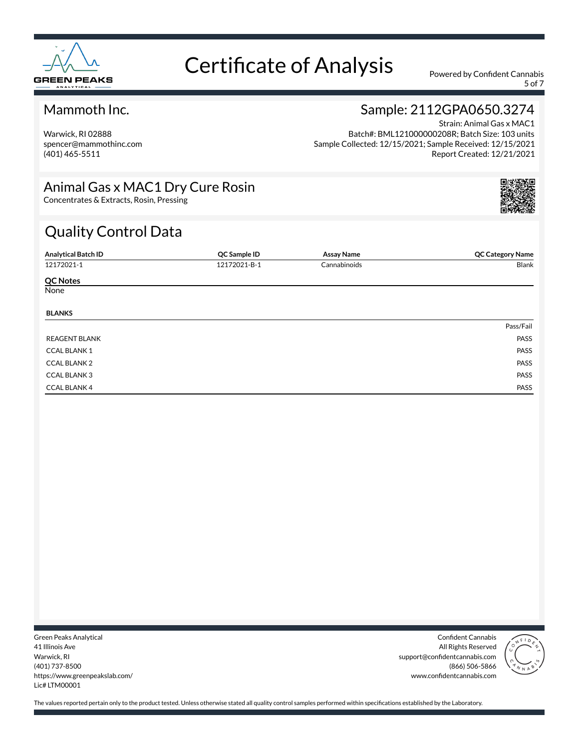

5 of 7

### Mammoth Inc.

Warwick, RI 02888 spencer@mammothinc.com (401) 465-5511

### Sample: 2112GPA0650.3274

Strain: Animal Gas x MAC1 Batch#: BML121000000208R; Batch Size: 103 units Sample Collected: 12/15/2021; Sample Received: 12/15/2021 Report Created: 12/21/2021

### Animal Gas x MAC1 Dry Cure Rosin

Concentrates & Extracts, Rosin, Pressing

# Quality Control Data

| <b>Analytical Batch ID</b> | QC Sample ID | <b>Assay Name</b> | <b>QC Category Name</b> |
|----------------------------|--------------|-------------------|-------------------------|
| 12172021-1                 | 12172021-B-1 | Cannabinoids      | Blank                   |
| <b>QC Notes</b>            |              |                   |                         |
| None                       |              |                   |                         |
| <b>BLANKS</b>              |              |                   |                         |
|                            |              |                   | Pass/Fail               |
| <b>REAGENT BLANK</b>       |              |                   | PASS                    |
| <b>CCAL BLANK1</b>         |              |                   | PASS                    |
| <b>CCAL BLANK 2</b>        |              |                   | PASS                    |
| <b>CCAL BLANK3</b>         |              |                   | PASS                    |
| <b>CCAL BLANK 4</b>        |              |                   | PASS                    |

Green Peaks Analytical 41 Illinois Ave Warwick, RI (401) 737-8500 https://www.greenpeakslab.com/ Lic# LTM00001

Confident Cannabis All Rights Reserved support@confidentcannabis.com (866) 506-5866 www.confidentcannabis.com



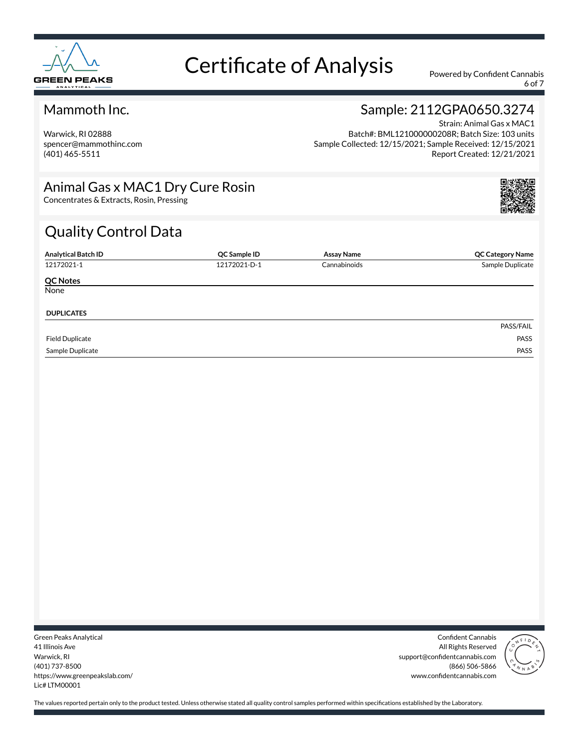

6 of 7

### Mammoth Inc.

Warwick, RI 02888 spencer@mammothinc.com (401) 465-5511

### Sample: 2112GPA0650.3274

Strain: Animal Gas x MAC1 Batch#: BML121000000208R; Batch Size: 103 units Sample Collected: 12/15/2021; Sample Received: 12/15/2021 Report Created: 12/21/2021

### Animal Gas x MAC1 Dry Cure Rosin

Concentrates & Extracts, Rosin, Pressing

# Quality Control Data

| <b>Analytical Batch ID</b> | QC Sample ID | <b>Assay Name</b> | <b>QC Category Name</b> |
|----------------------------|--------------|-------------------|-------------------------|
| 12172021-1                 | 12172021-D-1 | Cannabinoids      | Sample Duplicate        |
| <b>QC Notes</b>            |              |                   |                         |
| None                       |              |                   |                         |
| <b>DUPLICATES</b>          |              |                   |                         |
|                            |              |                   | PASS/FAIL               |
| <b>Field Duplicate</b>     |              |                   | PASS                    |
| Sample Duplicate           |              |                   | PASS                    |

Green Peaks Analytical 41 Illinois Ave Warwick, RI (401) 737-8500 https://www.greenpeakslab.com/ Lic# LTM00001

Confident Cannabis All Rights Reserved support@confidentcannabis.com (866) 506-5866 www.confidentcannabis.com